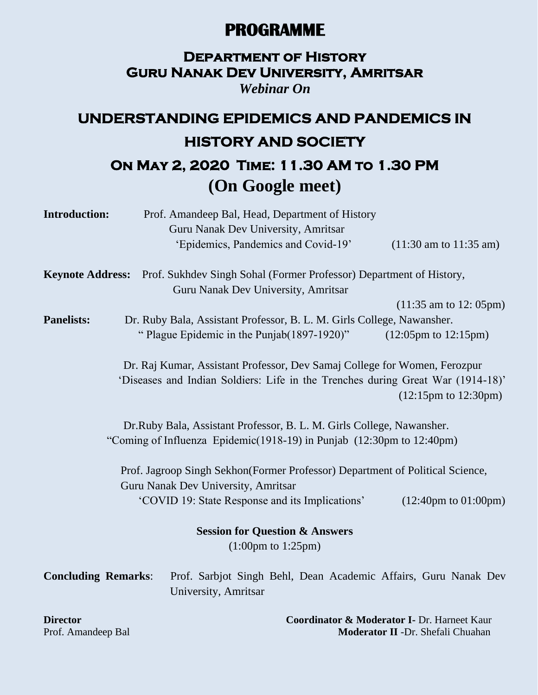### **PROGRAMME**

### **Department of History Guru Nanak Dev University, Amritsar**

*Webinar On*

# **UNDERSTANDING EPIDEMICS AND PANDEMICS IN HISTORY AND SOCIETY**

## **On May 2, 2020 Time: 11.30 AM to 1.30 PM (On Google meet)**

| <b>Introduction:</b>       | Prof. Amandeep Bal, Head, Department of History                                                                      |                                           |
|----------------------------|----------------------------------------------------------------------------------------------------------------------|-------------------------------------------|
|                            | Guru Nanak Dev University, Amritsar                                                                                  |                                           |
|                            | 'Epidemics, Pandemics and Covid-19'                                                                                  | $(11:30 \text{ am to } 11:35 \text{ am})$ |
| <b>Keynote Address:</b>    | Prof. Sukhdev Singh Sohal (Former Professor) Department of History,<br>Guru Nanak Dev University, Amritsar           |                                           |
|                            |                                                                                                                      | $(11:35 \text{ am to } 12:05 \text{ pm})$ |
| <b>Panelists:</b>          |                                                                                                                      |                                           |
|                            | Dr. Ruby Bala, Assistant Professor, B. L. M. Girls College, Nawansher.                                               |                                           |
|                            | "Plague Epidemic in the Punjab(1897-1920)"                                                                           | $(12:05 \text{pm to } 12:15 \text{pm})$   |
|                            | Dr. Raj Kumar, Assistant Professor, Dev Samaj College for Women, Ferozpur                                            |                                           |
|                            | 'Diseases and Indian Soldiers: Life in the Trenches during Great War (1914-18)'                                      |                                           |
|                            |                                                                                                                      | $(12:15 \text{pm to } 12:30 \text{pm})$   |
|                            |                                                                                                                      |                                           |
|                            | Dr.Ruby Bala, Assistant Professor, B. L. M. Girls College, Nawansher.                                                |                                           |
|                            | "Coming of Influenza Epidemic(1918-19) in Punjab (12:30pm to 12:40pm)                                                |                                           |
|                            | Prof. Jagroop Singh Sekhon(Former Professor) Department of Political Science,<br>Guru Nanak Dev University, Amritsar |                                           |
|                            | 'COVID 19: State Response and its Implications'                                                                      | $(12:40 \text{pm to } 01:00 \text{pm})$   |
|                            | <b>Session for Question &amp; Answers</b>                                                                            |                                           |
|                            | $(1:00 \text{pm to } 1:25 \text{pm})$                                                                                |                                           |
| <b>Concluding Remarks:</b> | Prof. Sarbjot Singh Behl, Dean Academic Affairs, Guru Nanak Dev                                                      |                                           |
|                            | University, Amritsar                                                                                                 |                                           |
|                            |                                                                                                                      |                                           |
|                            |                                                                                                                      |                                           |

**Director Coordinator & Moderator I-** Dr. Harneet Kaur<br>Prof. Amandeep Bal **Moderator II** -Dr. Shefali Chuahan **Moderator II -Dr. Shefali Chuahan**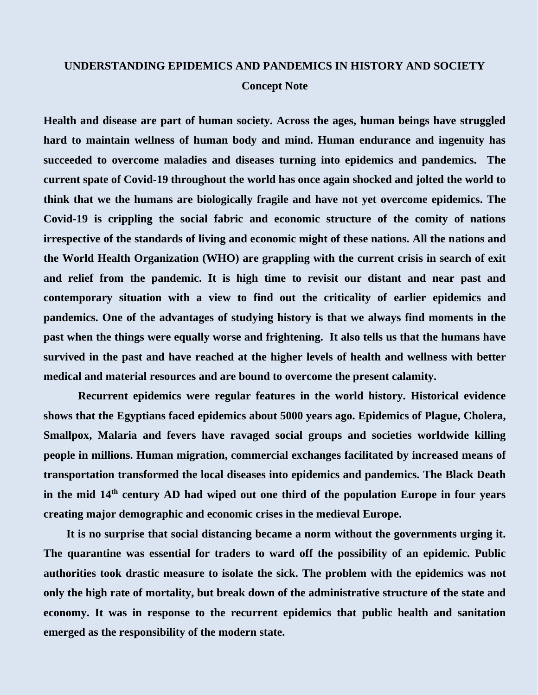#### **UNDERSTANDING EPIDEMICS AND PANDEMICS IN HISTORY AND SOCIETY Concept Note**

**Health and disease are part of human society. Across the ages, human beings have struggled hard to maintain wellness of human body and mind. Human endurance and ingenuity has succeeded to overcome maladies and diseases turning into epidemics and pandemics. The current spate of Covid-19 throughout the world has once again shocked and jolted the world to think that we the humans are biologically fragile and have not yet overcome epidemics. The Covid-19 is crippling the social fabric and economic structure of the comity of nations irrespective of the standards of living and economic might of these nations. All the nations and the World Health Organization (WHO) are grappling with the current crisis in search of exit and relief from the pandemic. It is high time to revisit our distant and near past and contemporary situation with a view to find out the criticality of earlier epidemics and pandemics. One of the advantages of studying history is that we always find moments in the past when the things were equally worse and frightening. It also tells us that the humans have survived in the past and have reached at the higher levels of health and wellness with better medical and material resources and are bound to overcome the present calamity.** 

 **Recurrent epidemics were regular features in the world history. Historical evidence shows that the Egyptians faced epidemics about 5000 years ago. Epidemics of Plague, Cholera, Smallpox, Malaria and fevers have ravaged social groups and societies worldwide killing people in millions. Human migration, commercial exchanges facilitated by increased means of transportation transformed the local diseases into epidemics and pandemics. The Black Death in the mid 14th century AD had wiped out one third of the population Europe in four years creating major demographic and economic crises in the medieval Europe.** 

 **It is no surprise that social distancing became a norm without the governments urging it. The quarantine was essential for traders to ward off the possibility of an epidemic. Public authorities took drastic measure to isolate the sick. The problem with the epidemics was not only the high rate of mortality, but break down of the administrative structure of the state and economy. It was in response to the recurrent epidemics that public health and sanitation emerged as the responsibility of the modern state.**